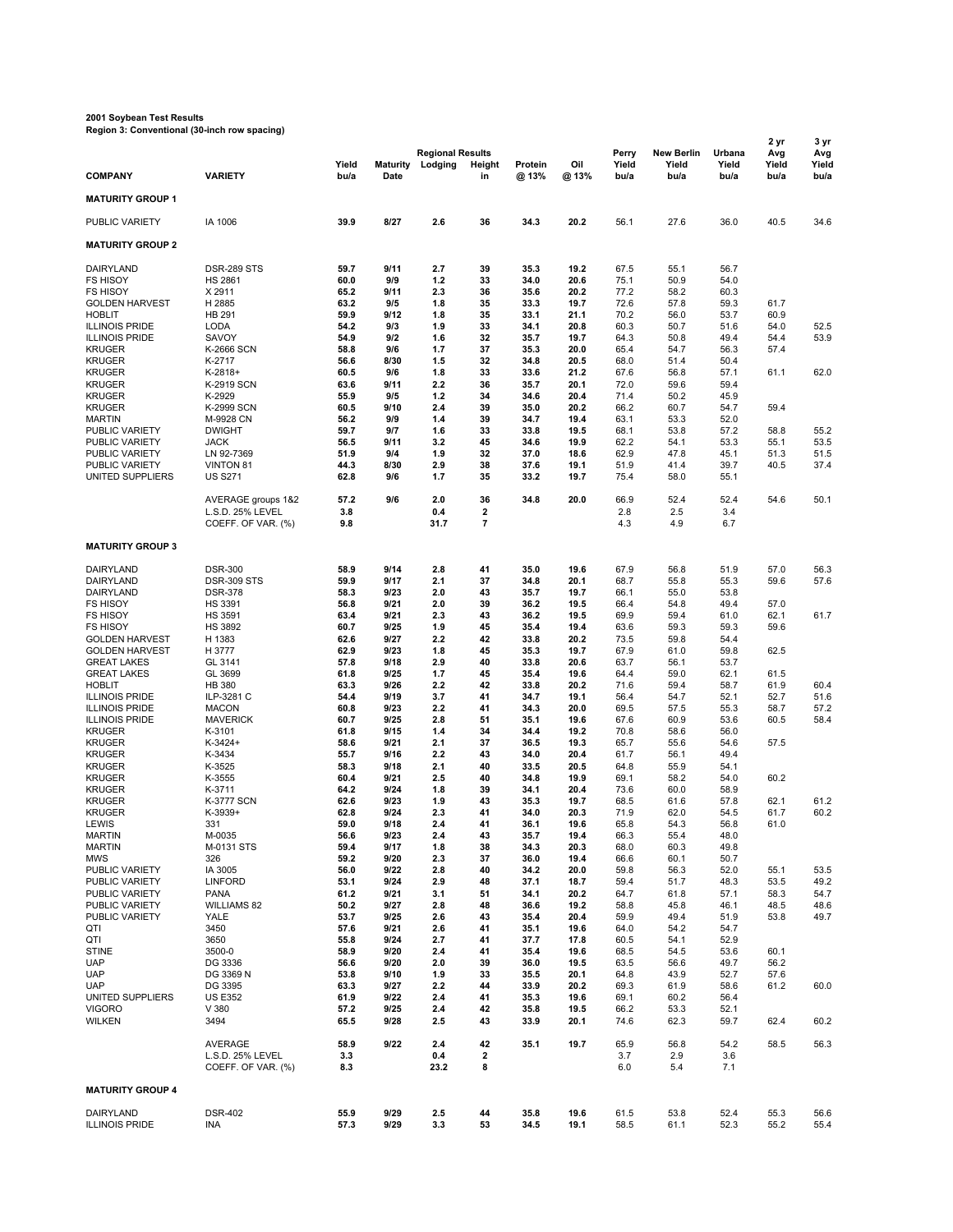## **2001 Soybean Test Results Region 3: Conventional (30-inch row spacing)**

|                                                |                                        |               |                         |                                    |                   |                 |              |                        |                                    |                         | 2 yr                 | 3 yr                 |
|------------------------------------------------|----------------------------------------|---------------|-------------------------|------------------------------------|-------------------|-----------------|--------------|------------------------|------------------------------------|-------------------------|----------------------|----------------------|
| <b>COMPANY</b>                                 | <b>VARIETY</b>                         | Yield<br>bu/a | <b>Maturity</b><br>Date | <b>Regional Results</b><br>Lodging | Height<br>in      | Protein<br>@13% | Oil<br>@ 13% | Perry<br>Yield<br>bu/a | <b>New Berlin</b><br>Yield<br>bu/a | Urbana<br>Yield<br>bu/a | Avg<br>Yield<br>bu/a | Avg<br>Yield<br>bu/a |
| <b>MATURITY GROUP 1</b>                        |                                        |               |                         |                                    |                   |                 |              |                        |                                    |                         |                      |                      |
| PUBLIC VARIETY                                 | IA 1006                                | 39.9          | 8/27                    | 2.6                                | 36                | 34.3            | 20.2         | 56.1                   | 27.6                               | 36.0                    | 40.5                 | 34.6                 |
|                                                |                                        |               |                         |                                    |                   |                 |              |                        |                                    |                         |                      |                      |
| <b>MATURITY GROUP 2</b>                        |                                        |               |                         |                                    |                   |                 |              |                        |                                    |                         |                      |                      |
| DAIRYLAND<br><b>FS HISOY</b>                   | <b>DSR-289 STS</b><br><b>HS 2861</b>   | 59.7<br>60.0  | 9/11<br>9/9             | 2.7<br>1.2                         | 39<br>33          | 35.3<br>34.0    | 19.2<br>20.6 | 67.5<br>75.1           | 55.1<br>50.9                       | 56.7<br>54.0            |                      |                      |
| <b>FS HISOY</b>                                | X 2911                                 | 65.2          | 9/11                    | 2.3                                | 36                | 35.6            | 20.2         | 77.2                   | 58.2                               | 60.3                    |                      |                      |
| <b>GOLDEN HARVEST</b>                          | H 2885                                 | 63.2          | 9/5                     | 1.8                                | 35                | 33.3            | 19.7         | 72.6                   | 57.8                               | 59.3                    | 61.7                 |                      |
| <b>HOBLIT</b><br><b>ILLINOIS PRIDE</b>         | <b>HB 291</b><br>LODA                  | 59.9<br>54.2  | 9/12<br>9/3             | 1.8<br>1.9                         | 35<br>33          | 33.1<br>34.1    | 21.1<br>20.8 | 70.2<br>60.3           | 56.0<br>50.7                       | 53.7<br>51.6            | 60.9<br>54.0         | 52.5                 |
| <b>ILLINOIS PRIDE</b>                          | SAVOY                                  | 54.9          | 9/2                     | 1.6                                | 32                | 35.7            | 19.7         | 64.3                   | 50.8                               | 49.4                    | 54.4                 | 53.9                 |
| <b>KRUGER</b>                                  | K-2666 SCN                             | 58.8          | 9/6                     | 1.7                                | 37                | 35.3            | 20.0         | 65.4                   | 54.7                               | 56.3                    | 57.4                 |                      |
| <b>KRUGER</b>                                  | K-2717                                 | 56.6<br>60.5  | 8/30<br>9/6             | 1.5<br>1.8                         | 32<br>33          | 34.8<br>33.6    | 20.5<br>21.2 | 68.0<br>67.6           | 51.4<br>56.8                       | 50.4                    | 61.1                 | 62.0                 |
| <b>KRUGER</b><br>KRUGER                        | $K-2818+$<br>K-2919 SCN                | 63.6          | 9/11                    | 2.2                                | 36                | 35.7            | 20.1         | 72.0                   | 59.6                               | 57.1<br>59.4            |                      |                      |
| <b>KRUGER</b>                                  | K-2929                                 | 55.9          | 9/5                     | 1.2                                | 34                | 34.6            | 20.4         | 71.4                   | 50.2                               | 45.9                    |                      |                      |
| <b>KRUGER</b>                                  | K-2999 SCN                             | 60.5          | 9/10                    | 2.4                                | 39                | 35.0            | 20.2         | 66.2                   | 60.7                               | 54.7                    | 59.4                 |                      |
| <b>MARTIN</b><br>PUBLIC VARIETY                | M-9928 CN<br><b>DWIGHT</b>             | 56.2<br>59.7  | 9/9<br>9/7              | 1.4<br>1.6                         | 39<br>33          | 34.7<br>33.8    | 19.4<br>19.5 | 63.1<br>68.1           | 53.3<br>53.8                       | 52.0<br>57.2            | 58.8                 | 55.2                 |
| PUBLIC VARIETY                                 | <b>JACK</b>                            | 56.5          | 9/11                    | 3.2                                | 45                | 34.6            | 19.9         | 62.2                   | 54.1                               | 53.3                    | 55.1                 | 53.5                 |
| PUBLIC VARIETY                                 | LN 92-7369                             | 51.9          | 9/4                     | 1.9                                | 32                | 37.0            | 18.6         | 62.9                   | 47.8                               | 45.1                    | 51.3                 | 51.5                 |
| PUBLIC VARIETY<br>UNITED SUPPLIERS             | <b>VINTON 81</b><br><b>US S271</b>     | 44.3<br>62.8  | 8/30<br>9/6             | 2.9<br>1.7                         | 38<br>35          | 37.6<br>33.2    | 19.1<br>19.7 | 51.9<br>75.4           | 41.4<br>58.0                       | 39.7<br>55.1            | 40.5                 | 37.4                 |
|                                                |                                        |               |                         |                                    |                   |                 |              |                        |                                    |                         |                      |                      |
|                                                | AVERAGE groups 1&2                     | 57.2          | 9/6                     | 2.0                                | 36                | 34.8            | 20.0         | 66.9                   | 52.4                               | 52.4                    | 54.6                 | 50.1                 |
|                                                | L.S.D. 25% LEVEL<br>COEFF. OF VAR. (%) | 3.8<br>9.8    |                         | 0.4<br>31.7                        | $\mathbf{2}$<br>7 |                 |              | 2.8<br>4.3             | 2.5<br>4.9                         | 3.4<br>6.7              |                      |                      |
| <b>MATURITY GROUP 3</b>                        |                                        |               |                         |                                    |                   |                 |              |                        |                                    |                         |                      |                      |
|                                                |                                        |               |                         |                                    |                   |                 |              |                        |                                    |                         |                      |                      |
| DAIRYLAND<br>DAIRYLAND                         | <b>DSR-300</b><br><b>DSR-309 STS</b>   | 58.9<br>59.9  | 9/14<br>9/17            | 2.8<br>2.1                         | 41<br>37          | 35.0<br>34.8    | 19.6<br>20.1 | 67.9<br>68.7           | 56.8<br>55.8                       | 51.9<br>55.3            | 57.0<br>59.6         | 56.3<br>57.6         |
| DAIRYLAND                                      | <b>DSR-378</b>                         | 58.3          | 9/23                    | 2.0                                | 43                | 35.7            | 19.7         | 66.1                   | 55.0                               | 53.8                    |                      |                      |
| <b>FS HISOY</b>                                | <b>HS 3391</b>                         | 56.8          | 9/21                    | 2.0                                | 39                | 36.2            | 19.5         | 66.4                   | 54.8                               | 49.4                    | 57.0                 |                      |
| <b>FS HISOY</b><br><b>FS HISOY</b>             | <b>HS 3591</b><br><b>HS 3892</b>       | 63.4<br>60.7  | 9/21<br>9/25            | 2.3<br>1.9                         | 43<br>45          | 36.2<br>35.4    | 19.5<br>19.4 | 69.9<br>63.6           | 59.4<br>59.3                       | 61.0<br>59.3            | 62.1<br>59.6         | 61.7                 |
| <b>GOLDEN HARVEST</b>                          | H 1383                                 | 62.6          | 9/27                    | 2.2                                | 42                | 33.8            | 20.2         | 73.5                   | 59.8                               | 54.4                    |                      |                      |
| <b>GOLDEN HARVEST</b>                          | H 3777                                 | 62.9          | 9/23                    | 1.8                                | 45                | 35.3            | 19.7         | 67.9                   | 61.0                               | 59.8                    | 62.5                 |                      |
| <b>GREAT LAKES</b><br><b>GREAT LAKES</b>       | GL 3141<br>GL 3699                     | 57.8<br>61.8  | 9/18<br>9/25            | 2.9<br>1.7                         | 40<br>45          | 33.8<br>35.4    | 20.6<br>19.6 | 63.7<br>64.4           | 56.1<br>59.0                       | 53.7<br>62.1            | 61.5                 |                      |
| <b>HOBLIT</b>                                  | <b>HB 380</b>                          | 63.3          | 9/26                    | 2.2                                | 42                | 33.8            | 20.2         | 71.6                   | 59.4                               | 58.7                    | 61.9                 | 60.4                 |
| <b>ILLINOIS PRIDE</b>                          | ILP-3281 C                             | 54.4          | 9/19                    | 3.7                                | 41                | 34.7            | 19.1         | 56.4                   | 54.7                               | 52.1                    | 52.7                 | 51.6                 |
| <b>ILLINOIS PRIDE</b><br><b>ILLINOIS PRIDE</b> | <b>MACON</b><br><b>MAVERICK</b>        | 60.8<br>60.7  | 9/23<br>9/25            | 2.2<br>2.8                         | 41<br>51          | 34.3<br>35.1    | 20.0<br>19.6 | 69.5<br>67.6           | 57.5<br>60.9                       | 55.3<br>53.6            | 58.7<br>60.5         | 57.2<br>58.4         |
| <b>KRUGER</b>                                  | K-3101                                 | 61.8          | 9/15                    | 1.4                                | 34                | 34.4            | 19.2         | 70.8                   | 58.6                               | 56.0                    |                      |                      |
| <b>KRUGER</b>                                  | $K-3424+$                              | 58.6          | 9/21                    | 2.1                                | 37                | 36.5            | 19.3         | 65.7                   | 55.6                               | 54.6                    | 57.5                 |                      |
| <b>KRUGER</b><br><b>KRUGER</b>                 | K-3434<br>K-3525                       | 55.7<br>58.3  | 9/16<br>9/18            | 2.2<br>2.1                         | 43<br>40          | 34.0<br>33.5    | 20.4<br>20.5 | 61.7<br>64.8           | 56.1<br>55.9                       | 49.4<br>54.1            |                      |                      |
| <b>KRUGER</b>                                  | K-3555                                 | 60.4          | 9/21                    | 2.5                                | 40                | 34.8            | 19.9         | 69.1                   | 58.2                               | 54.0                    | 60.2                 |                      |
| <b>KRUGER</b>                                  | K-3711                                 | 64.2          | 9/24                    | 1.8                                | 39                | 34.1            | 20.4         | 73.6                   | 60.0                               | 58.9                    |                      |                      |
| <b>KRUGER</b>                                  | <b>K-3777 SCN</b>                      | 62.6          | 9/23                    | 1.9                                | 43                | 35.3            | 19.7         | 68.5                   | 61.6                               | 57.8                    | 62.1                 | 61.2                 |
| <b>KRUGER</b><br>LEWIS                         | $K-3939+$<br>331                       | 62.8<br>59.0  | 9/24<br>9/18            | 2.3<br>2.4                         | 41<br>41          | 34.0<br>36.1    | 20.3<br>19.6 | 71.9<br>65.8           | 62.0<br>54.3                       | 54.5<br>56.8            | 61.7<br>61.0         | 60.2                 |
| <b>MARTIN</b>                                  | M-0035                                 | 56.6          | 9/23                    | 2.4                                | 43                | 35.7            | 19.4         | 66.3                   | 55.4                               | 48.0                    |                      |                      |
| <b>MARTIN</b>                                  | M-0131 STS                             | 59.4          | 9/17                    | 1.8                                | 38                | 34.3            | 20.3         | 68.0                   | 60.3                               | 49.8                    |                      |                      |
| <b>MWS</b><br>PUBLIC VARIETY                   | 326<br>IA 3005                         | 59.2<br>56.0  | 9/20<br>9/22            | 2.3<br>2.8                         | 37<br>40          | 36.0<br>34.2    | 19.4<br>20.0 | 66.6<br>59.8           | 60.1<br>56.3                       | 50.7<br>52.0            | 55.1                 | 53.5                 |
| PUBLIC VARIETY                                 | <b>LINFORD</b>                         | 53.1          | 9/24                    | 2.9                                | 48                | 37.1            | 18.7         | 59.4                   | 51.7                               | 48.3                    | 53.5                 | 49.2                 |
| PUBLIC VARIETY                                 | PANA                                   | 61.2          | 9/21                    | 3.1                                | 51                | 34.1            | 20.2         | 64.7                   | 61.8                               | 57.1                    | 58.3                 | 54.7                 |
| PUBLIC VARIETY<br>PUBLIC VARIETY               | <b>WILLIAMS 82</b><br>YALE             | 50.2<br>53.7  | 9/27<br>9/25            | 2.8<br>2.6                         | 48<br>43          | 36.6<br>35.4    | 19.2<br>20.4 | 58.8<br>59.9           | 45.8<br>49.4                       | 46.1<br>51.9            | 48.5<br>53.8         | 48.6<br>49.7         |
| QTI                                            | 3450                                   | 57.6          | 9/21                    | 2.6                                | 41                | 35.1            | 19.6         | 64.0                   | 54.2                               | 54.7                    |                      |                      |
| QTI                                            | 3650                                   | 55.8          | 9/24                    | 2.7                                | 41                | 37.7            | 17.8         | 60.5                   | 54.1                               | 52.9                    |                      |                      |
| <b>STINE</b><br><b>UAP</b>                     | 3500-0<br>DG 3336                      | 58.9<br>56.6  | 9/20<br>9/20            | 2.4<br>2.0                         | 41<br>39          | 35.4<br>36.0    | 19.6<br>19.5 | 68.5<br>63.5           | 54.5<br>56.6                       | 53.6<br>49.7            | 60.1<br>56.2         |                      |
| <b>UAP</b>                                     | DG 3369 N                              | 53.8          | 9/10                    | 1.9                                | 33                | 35.5            | 20.1         | 64.8                   | 43.9                               | 52.7                    | 57.6                 |                      |
| <b>UAP</b>                                     | DG 3395                                | 63.3          | 9/27                    | 2.2                                | 44                | 33.9            | 20.2         | 69.3                   | 61.9                               | 58.6                    | 61.2                 | 60.0                 |
| UNITED SUPPLIERS<br><b>VIGORO</b>              | <b>US E352</b><br>V 380                | 61.9<br>57.2  | 9/22<br>9/25            | 2.4<br>2.4                         | 41<br>42          | 35.3<br>35.8    | 19.6<br>19.5 | 69.1<br>66.2           | 60.2<br>53.3                       | 56.4<br>52.1            |                      |                      |
| <b>WILKEN</b>                                  | 3494                                   | 65.5          | 9/28                    | 2.5                                | 43                | 33.9            | 20.1         | 74.6                   | 62.3                               | 59.7                    | 62.4                 | 60.2                 |
|                                                |                                        |               |                         |                                    |                   |                 |              |                        |                                    |                         |                      |                      |
|                                                | AVERAGE<br>L.S.D. 25% LEVEL            | 58.9<br>3.3   | 9/22                    | 2.4<br>0.4                         | 42<br>2           | 35.1            | 19.7         | 65.9<br>3.7            | 56.8<br>2.9                        | 54.2<br>3.6             | 58.5                 | 56.3                 |
|                                                | COEFF. OF VAR. (%)                     | 8.3           |                         | 23.2                               | 8                 |                 |              | 6.0                    | 5.4                                | 7.1                     |                      |                      |
| <b>MATURITY GROUP 4</b>                        |                                        |               |                         |                                    |                   |                 |              |                        |                                    |                         |                      |                      |
| DAIRYLAND                                      | <b>DSR-402</b>                         | 55.9          | 9/29                    | 2.5                                | 44                | 35.8            | 19.6         | 61.5                   | 53.8                               | 52.4                    | 55.3                 | 56.6                 |
| <b>ILLINOIS PRIDE</b>                          | INA                                    | 57.3          | 9/29                    | 3.3                                | 53                | 34.5            | 19.1         | 58.5                   | 61.1                               | 52.3                    | 55.2                 | 55.4                 |